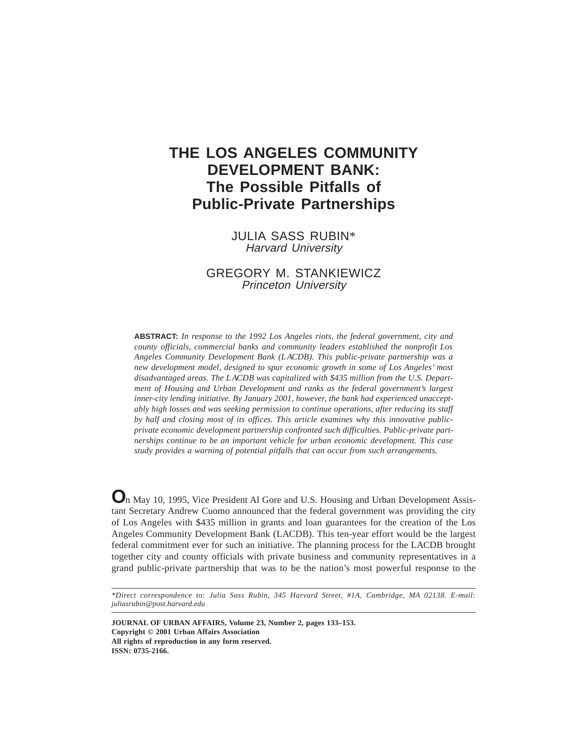# **THE LOS ANGELES COMMUNITY DEVELOPMENT BANK: The Possible Pitfalls of Public-Private Partnerships**

JULIA SASS RUBIN\* Harvard University

# GREGORY M. STANKIEWICZ Princeton University

**ABSTRACT:** *In response to the 1992 Los Angeles riots, the federal government, city and county officials, commercial banks and community leaders established the nonprofit Los Angeles Community Development Bank (L ACDB). This public-private partnership was a new development model, designed to spur economic growth in some of Los Angeles' most disadvantaged areas. The L ACDB was capitalized with \$435 million from the U.S. Department of Housing and Urban Development and ranks as the federal government's largest inner-city lending initiative. By January 2001, however, the bank had experienced unacceptably high losses and was seeking permission to continue operations, after reducing its staff by half and closing most of its offices. This article examines why this innovative publicprivate economic development partnership confronted such difficulties. Public-private partnerships continue to be an important vehicle for urban economic development. This case study provides a warning of potential pitfalls that can occur from such arrangements.*

**O**n May 10, 1995, Vice President Al Gore and U.S. Housing and Urban Development Assistant Secretary Andrew Cuomo announced that the federal government was providing the city of Los Angeles with \$435 million in grants and loan guarantees for the creation of the Los Angeles Community Development Bank (LACDB). This ten-year effort would be the largest federal commitment ever for such an initiative. The planning process for the LACDB brought together city and county officials with private business and community representatives in a grand public-private partnership that was to be the nation's most powerful response to the

*\*Direct correspondence to: Julia Sass Rubin, 345 Harvard Street, #1A, Cambridge, MA 02138. E-mail: juliasrubin@post.harvard.edu*

**JOURNAL OF URBAN AFFAIRS, Volume 23, Number 2, pages 133–153. Copyright © 2001 Urban Affairs Association All rights of reproduction in any form reserved. ISSN: 0735-2166.**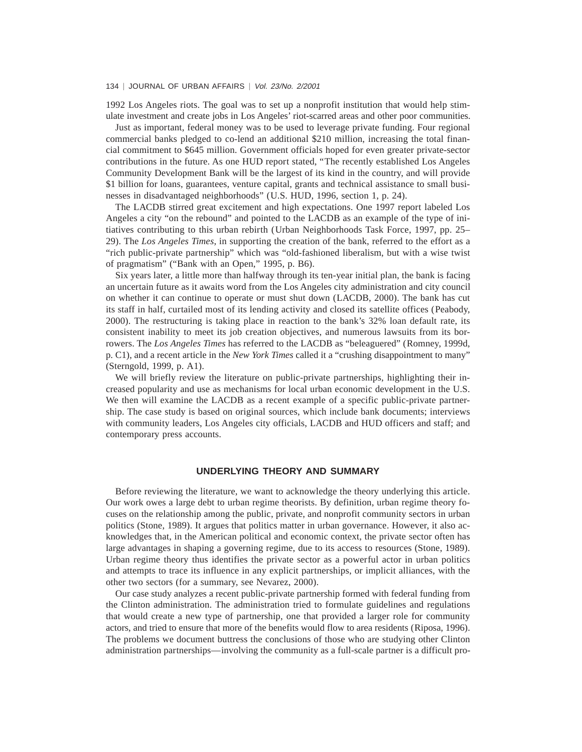1992 Los Angeles riots. The goal was to set up a nonprofit institution that would help stimulate investment and create jobs in Los Angeles' riot-scarred areas and other poor communities.

Just as important, federal money was to be used to leverage private funding. Four regional commercial banks pledged to co-lend an additional \$210 million, increasing the total financial commitment to \$645 million. Government officials hoped for even greater private-sector contributions in the future. As one HUD report stated, "The recently established Los Angeles Community Development Bank will be the largest of its kind in the country, and will provide \$1 billion for loans, guarantees, venture capital, grants and technical assistance to small businesses in disadvantaged neighborhoods" (U.S. HUD, 1996, section 1, p. 24).

The LACDB stirred great excitement and high expectations. One 1997 report labeled Los Angeles a city "on the rebound" and pointed to the LACDB as an example of the type of initiatives contributing to this urban rebirth (Urban Neighborhoods Task Force, 1997, pp. 25– 29). The *Los Angeles Times*, in supporting the creation of the bank, referred to the effort as a "rich public-private partnership" which was "old-fashioned liberalism, but with a wise twist of pragmatism" ("Bank with an Open," 1995, p. B6).

Six years later, a little more than halfway through its ten-year initial plan, the bank is facing an uncertain future as it awaits word from the Los Angeles city administration and city council on whether it can continue to operate or must shut down (LACDB, 2000). The bank has cut its staff in half, curtailed most of its lending activity and closed its satellite offices (Peabody, 2000). The restructuring is taking place in reaction to the bank's 32% loan default rate, its consistent inability to meet its job creation objectives, and numerous lawsuits from its borrowers. The *Los Angeles Times* has referred to the LACDB as "beleaguered" (Romney, 1999d, p. C1), and a recent article in the *New York Times* called it a "crushing disappointment to many" (Sterngold, 1999, p. A1).

We will briefly review the literature on public-private partnerships, highlighting their increased popularity and use as mechanisms for local urban economic development in the U.S. We then will examine the LACDB as a recent example of a specific public-private partnership. The case study is based on original sources, which include bank documents; interviews with community leaders, Los Angeles city officials, LACDB and HUD officers and staff; and contemporary press accounts.

### **UNDERLYING THEORY AND SUMMARY**

Before reviewing the literature, we want to acknowledge the theory underlying this article. Our work owes a large debt to urban regime theorists. By definition, urban regime theory focuses on the relationship among the public, private, and nonprofit community sectors in urban politics (Stone, 1989). It argues that politics matter in urban governance. However, it also acknowledges that, in the American political and economic context, the private sector often has large advantages in shaping a governing regime, due to its access to resources (Stone, 1989). Urban regime theory thus identifies the private sector as a powerful actor in urban politics and attempts to trace its influence in any explicit partnerships, or implicit alliances, with the other two sectors (for a summary, see Nevarez, 2000).

Our case study analyzes a recent public-private partnership formed with federal funding from the Clinton administration. The administration tried to formulate guidelines and regulations that would create a new type of partnership, one that provided a larger role for community actors, and tried to ensure that more of the benefits would flow to area residents (Riposa, 1996). The problems we document buttress the conclusions of those who are studying other Clinton administration partnerships—involving the community as a full-scale partner is a difficult pro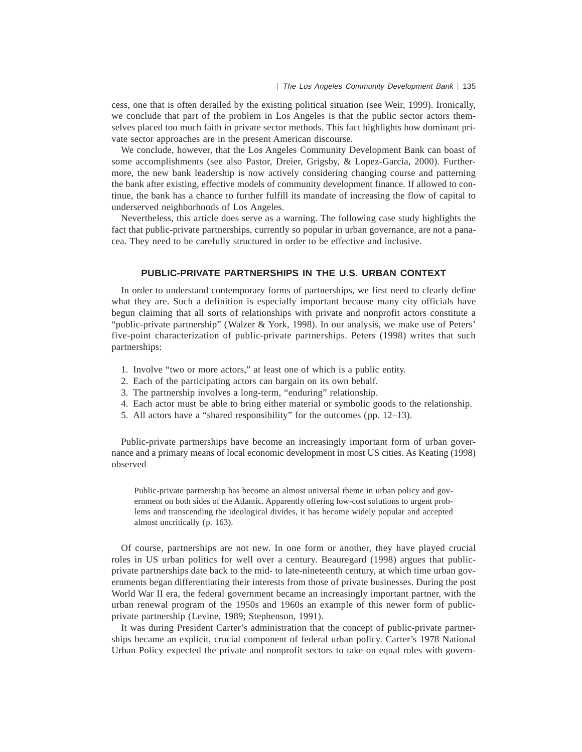cess, one that is often derailed by the existing political situation (see Weir, 1999). Ironically, we conclude that part of the problem in Los Angeles is that the public sector actors themselves placed too much faith in private sector methods. This fact highlights how dominant private sector approaches are in the present American discourse.

We conclude, however, that the Los Angeles Community Development Bank can boast of some accomplishments (see also Pastor, Dreier, Grigsby, & Lopez-Garcia, 2000). Furthermore, the new bank leadership is now actively considering changing course and patterning the bank after existing, effective models of community development finance. If allowed to continue, the bank has a chance to further fulfill its mandate of increasing the flow of capital to underserved neighborhoods of Los Angeles.

Nevertheless, this article does serve as a warning. The following case study highlights the fact that public-private partnerships, currently so popular in urban governance, are not a panacea. They need to be carefully structured in order to be effective and inclusive.

# **PUBLIC-PRIVATE PARTNERSHIPS IN THE U.S. URBAN CONTEXT**

In order to understand contemporary forms of partnerships, we first need to clearly define what they are. Such a definition is especially important because many city officials have begun claiming that all sorts of relationships with private and nonprofit actors constitute a "public-private partnership" (Walzer & York, 1998). In our analysis, we make use of Peters' five-point characterization of public-private partnerships. Peters (1998) writes that such partnerships:

- 1. Involve "two or more actors," at least one of which is a public entity.
- 2. Each of the participating actors can bargain on its own behalf.
- 3. The partnership involves a long-term, "enduring" relationship.
- 4. Each actor must be able to bring either material or symbolic goods to the relationship.
- 5. All actors have a "shared responsibility" for the outcomes (pp. 12–13).

Public-private partnerships have become an increasingly important form of urban governance and a primary means of local economic development in most US cities. As Keating (1998) observed

Public-private partnership has become an almost universal theme in urban policy and government on both sides of the Atlantic. Apparently offering low-cost solutions to urgent problems and transcending the ideological divides, it has become widely popular and accepted almost uncritically (p. 163).

Of course, partnerships are not new. In one form or another, they have played crucial roles in US urban politics for well over a century. Beauregard (1998) argues that publicprivate partnerships date back to the mid- to late-nineteenth century, at which time urban governments began differentiating their interests from those of private businesses. During the post World War II era, the federal government became an increasingly important partner, with the urban renewal program of the 1950s and 1960s an example of this newer form of publicprivate partnership (Levine, 1989; Stephenson, 1991).

It was during President Carter's administration that the concept of public-private partnerships became an explicit, crucial component of federal urban policy. Carter's 1978 National Urban Policy expected the private and nonprofit sectors to take on equal roles with govern-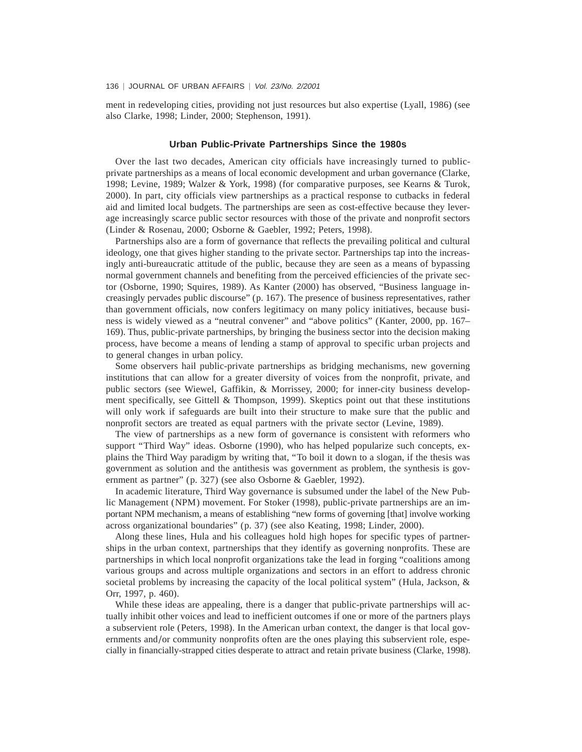ment in redeveloping cities, providing not just resources but also expertise (Lyall, 1986) (see also Clarke, 1998; Linder, 2000; Stephenson, 1991).

#### **Urban Public-Private Partnerships Since the 1980s**

Over the last two decades, American city officials have increasingly turned to publicprivate partnerships as a means of local economic development and urban governance (Clarke, 1998; Levine, 1989; Walzer & York, 1998) (for comparative purposes, see Kearns & Turok, 2000). In part, city officials view partnerships as a practical response to cutbacks in federal aid and limited local budgets. The partnerships are seen as cost-effective because they leverage increasingly scarce public sector resources with those of the private and nonprofit sectors (Linder & Rosenau, 2000; Osborne & Gaebler, 1992; Peters, 1998).

Partnerships also are a form of governance that reflects the prevailing political and cultural ideology, one that gives higher standing to the private sector. Partnerships tap into the increasingly anti-bureaucratic attitude of the public, because they are seen as a means of bypassing normal government channels and benefiting from the perceived efficiencies of the private sector (Osborne, 1990; Squires, 1989). As Kanter (2000) has observed, "Business language increasingly pervades public discourse" (p. 167). The presence of business representatives, rather than government officials, now confers legitimacy on many policy initiatives, because business is widely viewed as a "neutral convener" and "above politics" (Kanter, 2000, pp. 167– 169). Thus, public-private partnerships, by bringing the business sector into the decision making process, have become a means of lending a stamp of approval to specific urban projects and to general changes in urban policy.

Some observers hail public-private partnerships as bridging mechanisms, new governing institutions that can allow for a greater diversity of voices from the nonprofit, private, and public sectors (see Wiewel, Gaffikin, & Morrissey, 2000; for inner-city business development specifically, see Gittell & Thompson, 1999). Skeptics point out that these institutions will only work if safeguards are built into their structure to make sure that the public and nonprofit sectors are treated as equal partners with the private sector (Levine, 1989).

The view of partnerships as a new form of governance is consistent with reformers who support "Third Way" ideas. Osborne (1990), who has helped popularize such concepts, explains the Third Way paradigm by writing that, "To boil it down to a slogan, if the thesis was government as solution and the antithesis was government as problem, the synthesis is government as partner" (p. 327) (see also Osborne & Gaebler, 1992).

In academic literature, Third Way governance is subsumed under the label of the New Public Management (NPM) movement. For Stoker (1998), public-private partnerships are an important NPM mechanism, a means of establishing "new forms of governing [that] involve working across organizational boundaries" (p. 37) (see also Keating, 1998; Linder, 2000).

Along these lines, Hula and his colleagues hold high hopes for specific types of partnerships in the urban context, partnerships that they identify as governing nonprofits. These are partnerships in which local nonprofit organizations take the lead in forging "coalitions among various groups and across multiple organizations and sectors in an effort to address chronic societal problems by increasing the capacity of the local political system" (Hula, Jackson, & Orr, 1997, p. 460).

While these ideas are appealing, there is a danger that public-private partnerships will actually inhibit other voices and lead to inefficient outcomes if one or more of the partners plays a subservient role (Peters, 1998). In the American urban context, the danger is that local governments and/or community nonprofits often are the ones playing this subservient role, especially in financially-strapped cities desperate to attract and retain private business (Clarke, 1998).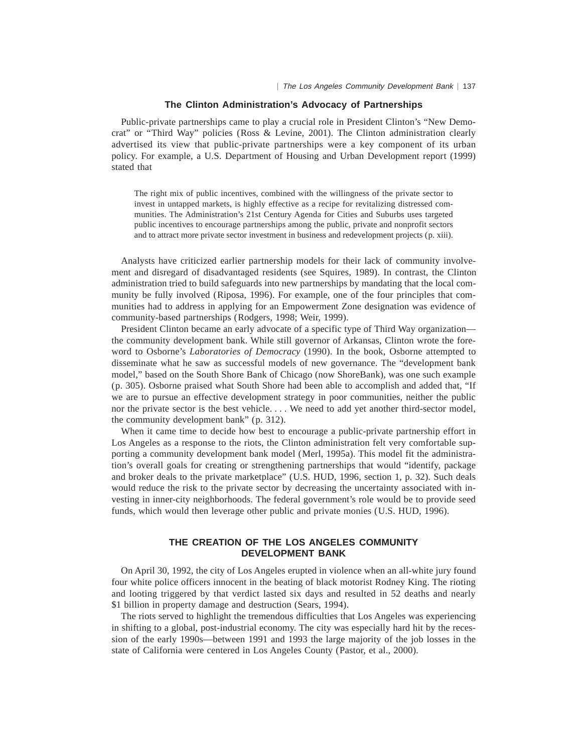## **The Clinton Administration's Advocacy of Partnerships**

Public-private partnerships came to play a crucial role in President Clinton's "New Democrat" or "Third Way" policies (Ross & Levine, 2001). The Clinton administration clearly advertised its view that public-private partnerships were a key component of its urban policy. For example, a U.S. Department of Housing and Urban Development report (1999) stated that

The right mix of public incentives, combined with the willingness of the private sector to invest in untapped markets, is highly effective as a recipe for revitalizing distressed communities. The Administration's 21st Century Agenda for Cities and Suburbs uses targeted public incentives to encourage partnerships among the public, private and nonprofit sectors and to attract more private sector investment in business and redevelopment projects (p. xiii).

Analysts have criticized earlier partnership models for their lack of community involvement and disregard of disadvantaged residents (see Squires, 1989). In contrast, the Clinton administration tried to build safeguards into new partnerships by mandating that the local community be fully involved (Riposa, 1996). For example, one of the four principles that communities had to address in applying for an Empowerment Zone designation was evidence of community-based partnerships (Rodgers, 1998; Weir, 1999).

President Clinton became an early advocate of a specific type of Third Way organization the community development bank. While still governor of Arkansas, Clinton wrote the foreword to Osborne's *Laboratories of Democracy* (1990). In the book, Osborne attempted to disseminate what he saw as successful models of new governance. The "development bank model," based on the South Shore Bank of Chicago (now ShoreBank), was one such example (p. 305). Osborne praised what South Shore had been able to accomplish and added that, "If we are to pursue an effective development strategy in poor communities, neither the public nor the private sector is the best vehicle. . . . We need to add yet another third-sector model, the community development bank" (p. 312).

When it came time to decide how best to encourage a public-private partnership effort in Los Angeles as a response to the riots, the Clinton administration felt very comfortable supporting a community development bank model (Merl, 1995a). This model fit the administration's overall goals for creating or strengthening partnerships that would "identify, package and broker deals to the private marketplace" (U.S. HUD, 1996, section 1, p. 32). Such deals would reduce the risk to the private sector by decreasing the uncertainty associated with investing in inner-city neighborhoods. The federal government's role would be to provide seed funds, which would then leverage other public and private monies (U.S. HUD, 1996).

# **THE CREATION OF THE LOS ANGELES COMMUNITY DEVELOPMENT BANK**

On April 30, 1992, the city of Los Angeles erupted in violence when an all-white jury found four white police officers innocent in the beating of black motorist Rodney King. The rioting and looting triggered by that verdict lasted six days and resulted in 52 deaths and nearly \$1 billion in property damage and destruction (Sears, 1994).

The riots served to highlight the tremendous difficulties that Los Angeles was experiencing in shifting to a global, post-industrial economy. The city was especially hard hit by the recession of the early 1990s—between 1991 and 1993 the large majority of the job losses in the state of California were centered in Los Angeles County (Pastor, et al., 2000).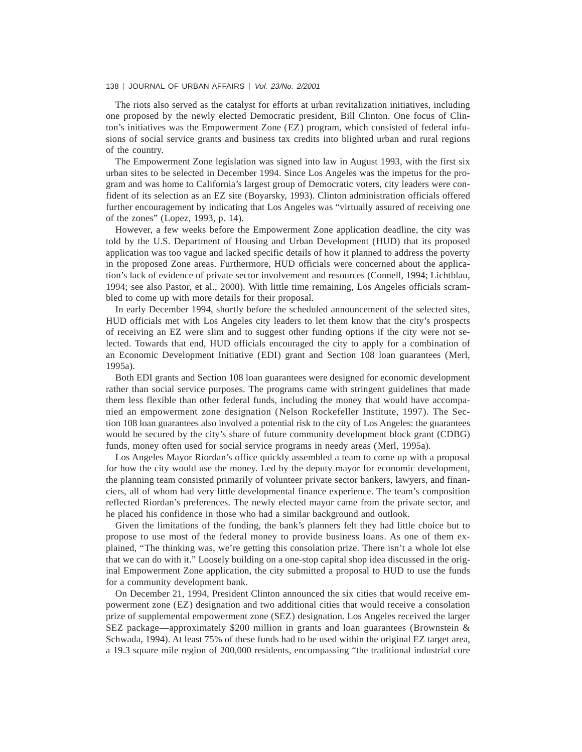The riots also served as the catalyst for efforts at urban revitalization initiatives, including one proposed by the newly elected Democratic president, Bill Clinton. One focus of Clinton's initiatives was the Empowerment Zone (EZ) program, which consisted of federal infusions of social service grants and business tax credits into blighted urban and rural regions of the country.

The Empowerment Zone legislation was signed into law in August 1993, with the first six urban sites to be selected in December 1994. Since Los Angeles was the impetus for the program and was home to California's largest group of Democratic voters, city leaders were confident of its selection as an EZ site (Boyarsky, 1993). Clinton administration officials offered further encouragement by indicating that Los Angeles was "virtually assured of receiving one of the zones" (Lopez, 1993, p. 14).

However, a few weeks before the Empowerment Zone application deadline, the city was told by the U.S. Department of Housing and Urban Development (HUD) that its proposed application was too vague and lacked specific details of how it planned to address the poverty in the proposed Zone areas. Furthermore, HUD officials were concerned about the application's lack of evidence of private sector involvement and resources (Connell, 1994; Lichtblau, 1994; see also Pastor, et al., 2000). With little time remaining, Los Angeles officials scrambled to come up with more details for their proposal.

In early December 1994, shortly before the scheduled announcement of the selected sites, HUD officials met with Los Angeles city leaders to let them know that the city's prospects of receiving an EZ were slim and to suggest other funding options if the city were not selected. Towards that end, HUD officials encouraged the city to apply for a combination of an Economic Development Initiative (EDI) grant and Section 108 loan guarantees (Merl, 1995a).

Both EDI grants and Section 108 loan guarantees were designed for economic development rather than social service purposes. The programs came with stringent guidelines that made them less flexible than other federal funds, including the money that would have accompanied an empowerment zone designation (Nelson Rockefeller Institute, 1997). The Section 108 loan guarantees also involved a potential risk to the city of Los Angeles: the guarantees would be secured by the city's share of future community development block grant (CDBG) funds, money often used for social service programs in needy areas (Merl, 1995a).

Los Angeles Mayor Riordan's office quickly assembled a team to come up with a proposal for how the city would use the money. Led by the deputy mayor for economic development, the planning team consisted primarily of volunteer private sector bankers, lawyers, and financiers, all of whom had very little developmental finance experience. The team's composition reflected Riordan's preferences. The newly elected mayor came from the private sector, and he placed his confidence in those who had a similar background and outlook.

Given the limitations of the funding, the bank's planners felt they had little choice but to propose to use most of the federal money to provide business loans. As one of them explained, "The thinking was, we're getting this consolation prize. There isn't a whole lot else that we can do with it." Loosely building on a one-stop capital shop idea discussed in the original Empowerment Zone application, the city submitted a proposal to HUD to use the funds for a community development bank.

On December 21, 1994, President Clinton announced the six cities that would receive empowerment zone (EZ) designation and two additional cities that would receive a consolation prize of supplemental empowerment zone (SEZ) designation. Los Angeles received the larger SEZ package—approximately \$200 million in grants and loan guarantees (Brownstein & Schwada, 1994). At least 75% of these funds had to be used within the original EZ target area, a 19.3 square mile region of 200,000 residents, encompassing "the traditional industrial core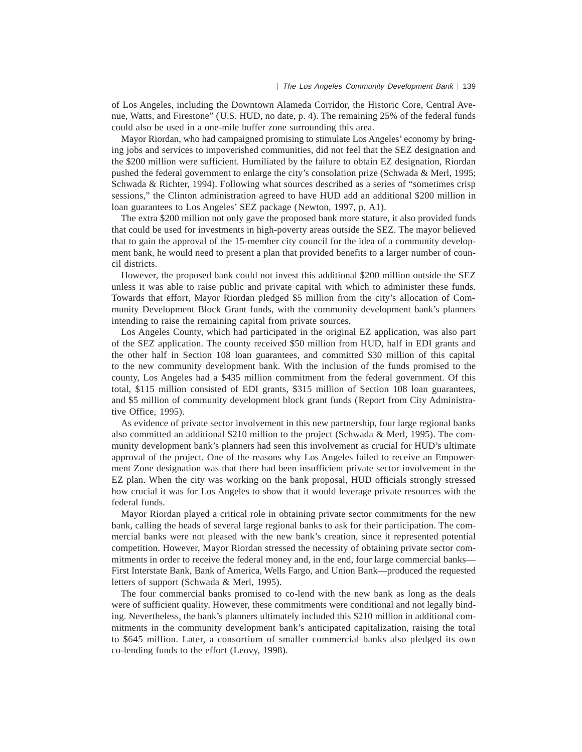of Los Angeles, including the Downtown Alameda Corridor, the Historic Core, Central Avenue, Watts, and Firestone" (U.S. HUD, no date, p. 4). The remaining 25% of the federal funds could also be used in a one-mile buffer zone surrounding this area.

Mayor Riordan, who had campaigned promising to stimulate Los Angeles' economy by bringing jobs and services to impoverished communities, did not feel that the SEZ designation and the \$200 million were sufficient. Humiliated by the failure to obtain EZ designation, Riordan pushed the federal government to enlarge the city's consolation prize (Schwada & Merl, 1995; Schwada & Richter, 1994). Following what sources described as a series of "sometimes crisp sessions," the Clinton administration agreed to have HUD add an additional \$200 million in loan guarantees to Los Angeles' SEZ package (Newton, 1997, p. A1).

The extra \$200 million not only gave the proposed bank more stature, it also provided funds that could be used for investments in high-poverty areas outside the SEZ. The mayor believed that to gain the approval of the 15-member city council for the idea of a community development bank, he would need to present a plan that provided benefits to a larger number of council districts.

However, the proposed bank could not invest this additional \$200 million outside the SEZ unless it was able to raise public and private capital with which to administer these funds. Towards that effort, Mayor Riordan pledged \$5 million from the city's allocation of Community Development Block Grant funds, with the community development bank's planners intending to raise the remaining capital from private sources.

Los Angeles County, which had participated in the original EZ application, was also part of the SEZ application. The county received \$50 million from HUD, half in EDI grants and the other half in Section 108 loan guarantees, and committed \$30 million of this capital to the new community development bank. With the inclusion of the funds promised to the county, Los Angeles had a \$435 million commitment from the federal government. Of this total, \$115 million consisted of EDI grants, \$315 million of Section 108 loan guarantees, and \$5 million of community development block grant funds (Report from City Administrative Office, 1995).

As evidence of private sector involvement in this new partnership, four large regional banks also committed an additional \$210 million to the project (Schwada & Merl, 1995). The community development bank's planners had seen this involvement as crucial for HUD's ultimate approval of the project. One of the reasons why Los Angeles failed to receive an Empowerment Zone designation was that there had been insufficient private sector involvement in the EZ plan. When the city was working on the bank proposal, HUD officials strongly stressed how crucial it was for Los Angeles to show that it would leverage private resources with the federal funds.

Mayor Riordan played a critical role in obtaining private sector commitments for the new bank, calling the heads of several large regional banks to ask for their participation. The commercial banks were not pleased with the new bank's creation, since it represented potential competition. However, Mayor Riordan stressed the necessity of obtaining private sector commitments in order to receive the federal money and, in the end, four large commercial banks— First Interstate Bank, Bank of America, Wells Fargo, and Union Bank—produced the requested letters of support (Schwada & Merl, 1995).

The four commercial banks promised to co-lend with the new bank as long as the deals were of sufficient quality. However, these commitments were conditional and not legally binding. Nevertheless, the bank's planners ultimately included this \$210 million in additional commitments in the community development bank's anticipated capitalization, raising the total to \$645 million. Later, a consortium of smaller commercial banks also pledged its own co-lending funds to the effort (Leovy, 1998).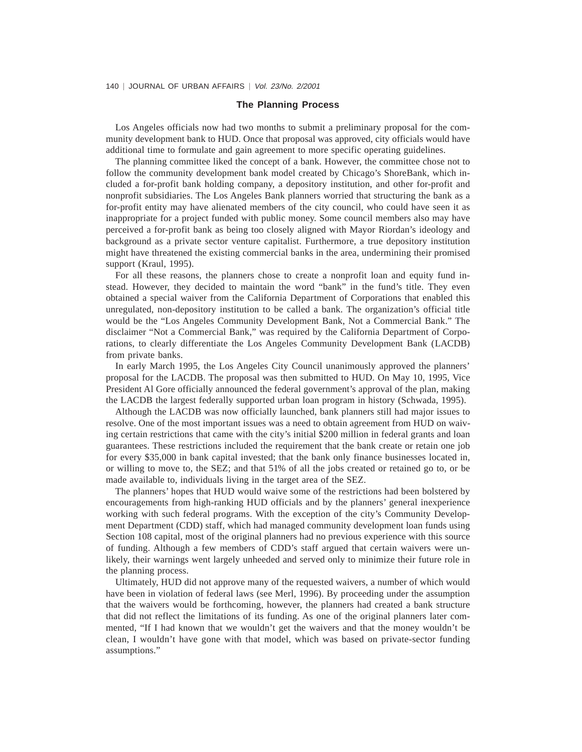## **The Planning Process**

Los Angeles officials now had two months to submit a preliminary proposal for the community development bank to HUD. Once that proposal was approved, city officials would have additional time to formulate and gain agreement to more specific operating guidelines.

The planning committee liked the concept of a bank. However, the committee chose not to follow the community development bank model created by Chicago's ShoreBank, which included a for-profit bank holding company, a depository institution, and other for-profit and nonprofit subsidiaries. The Los Angeles Bank planners worried that structuring the bank as a for-profit entity may have alienated members of the city council, who could have seen it as inappropriate for a project funded with public money. Some council members also may have perceived a for-profit bank as being too closely aligned with Mayor Riordan's ideology and background as a private sector venture capitalist. Furthermore, a true depository institution might have threatened the existing commercial banks in the area, undermining their promised support (Kraul, 1995).

For all these reasons, the planners chose to create a nonprofit loan and equity fund instead. However, they decided to maintain the word "bank" in the fund's title. They even obtained a special waiver from the California Department of Corporations that enabled this unregulated, non-depository institution to be called a bank. The organization's official title would be the "Los Angeles Community Development Bank, Not a Commercial Bank." The disclaimer "Not a Commercial Bank," was required by the California Department of Corporations, to clearly differentiate the Los Angeles Community Development Bank (LACDB) from private banks.

In early March 1995, the Los Angeles City Council unanimously approved the planners' proposal for the LACDB. The proposal was then submitted to HUD. On May 10, 1995, Vice President Al Gore officially announced the federal government's approval of the plan, making the LACDB the largest federally supported urban loan program in history (Schwada, 1995).

Although the LACDB was now officially launched, bank planners still had major issues to resolve. One of the most important issues was a need to obtain agreement from HUD on waiving certain restrictions that came with the city's initial \$200 million in federal grants and loan guarantees. These restrictions included the requirement that the bank create or retain one job for every \$35,000 in bank capital invested; that the bank only finance businesses located in, or willing to move to, the SEZ; and that 51% of all the jobs created or retained go to, or be made available to, individuals living in the target area of the SEZ.

The planners' hopes that HUD would waive some of the restrictions had been bolstered by encouragements from high-ranking HUD officials and by the planners' general inexperience working with such federal programs. With the exception of the city's Community Development Department (CDD) staff, which had managed community development loan funds using Section 108 capital, most of the original planners had no previous experience with this source of funding. Although a few members of CDD's staff argued that certain waivers were unlikely, their warnings went largely unheeded and served only to minimize their future role in the planning process.

Ultimately, HUD did not approve many of the requested waivers, a number of which would have been in violation of federal laws (see Merl, 1996). By proceeding under the assumption that the waivers would be forthcoming, however, the planners had created a bank structure that did not reflect the limitations of its funding. As one of the original planners later commented, "If I had known that we wouldn't get the waivers and that the money wouldn't be clean, I wouldn't have gone with that model, which was based on private-sector funding assumptions."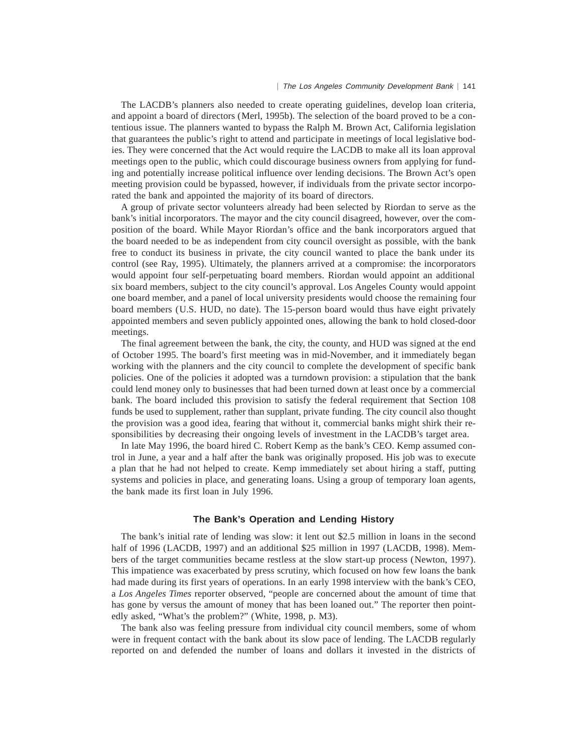The LACDB's planners also needed to create operating guidelines, develop loan criteria, and appoint a board of directors (Merl, 1995b). The selection of the board proved to be a contentious issue. The planners wanted to bypass the Ralph M. Brown Act, California legislation that guarantees the public's right to attend and participate in meetings of local legislative bodies. They were concerned that the Act would require the LACDB to make all its loan approval meetings open to the public, which could discourage business owners from applying for funding and potentially increase political influence over lending decisions. The Brown Act's open meeting provision could be bypassed, however, if individuals from the private sector incorporated the bank and appointed the majority of its board of directors.

A group of private sector volunteers already had been selected by Riordan to serve as the bank's initial incorporators. The mayor and the city council disagreed, however, over the composition of the board. While Mayor Riordan's office and the bank incorporators argued that the board needed to be as independent from city council oversight as possible, with the bank free to conduct its business in private, the city council wanted to place the bank under its control (see Ray, 1995). Ultimately, the planners arrived at a compromise: the incorporators would appoint four self-perpetuating board members. Riordan would appoint an additional six board members, subject to the city council's approval. Los Angeles County would appoint one board member, and a panel of local university presidents would choose the remaining four board members (U.S. HUD, no date). The 15-person board would thus have eight privately appointed members and seven publicly appointed ones, allowing the bank to hold closed-door meetings.

The final agreement between the bank, the city, the county, and HUD was signed at the end of October 1995. The board's first meeting was in mid-November, and it immediately began working with the planners and the city council to complete the development of specific bank policies. One of the policies it adopted was a turndown provision: a stipulation that the bank could lend money only to businesses that had been turned down at least once by a commercial bank. The board included this provision to satisfy the federal requirement that Section 108 funds be used to supplement, rather than supplant, private funding. The city council also thought the provision was a good idea, fearing that without it, commercial banks might shirk their responsibilities by decreasing their ongoing levels of investment in the LACDB's target area.

In late May 1996, the board hired C. Robert Kemp as the bank's CEO. Kemp assumed control in June, a year and a half after the bank was originally proposed. His job was to execute a plan that he had not helped to create. Kemp immediately set about hiring a staff, putting systems and policies in place, and generating loans. Using a group of temporary loan agents, the bank made its first loan in July 1996.

### **The Bank's Operation and Lending History**

The bank's initial rate of lending was slow: it lent out \$2.5 million in loans in the second half of 1996 (LACDB, 1997) and an additional \$25 million in 1997 (LACDB, 1998). Members of the target communities became restless at the slow start-up process (Newton, 1997). This impatience was exacerbated by press scrutiny, which focused on how few loans the bank had made during its first years of operations. In an early 1998 interview with the bank's CEO, a *Los Angeles Times* reporter observed, "people are concerned about the amount of time that has gone by versus the amount of money that has been loaned out." The reporter then pointedly asked, "What's the problem?" (White, 1998, p. M3).

The bank also was feeling pressure from individual city council members, some of whom were in frequent contact with the bank about its slow pace of lending. The LACDB regularly reported on and defended the number of loans and dollars it invested in the districts of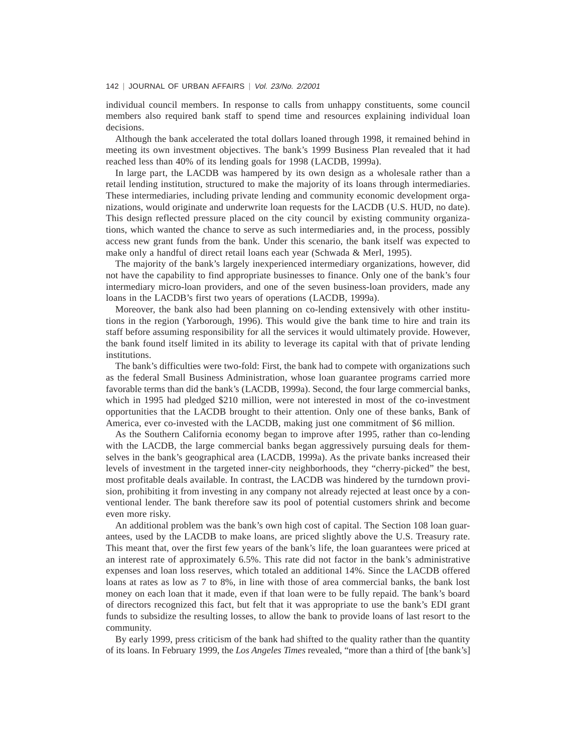individual council members. In response to calls from unhappy constituents, some council members also required bank staff to spend time and resources explaining individual loan decisions.

Although the bank accelerated the total dollars loaned through 1998, it remained behind in meeting its own investment objectives. The bank's 1999 Business Plan revealed that it had reached less than 40% of its lending goals for 1998 (LACDB, 1999a).

In large part, the LACDB was hampered by its own design as a wholesale rather than a retail lending institution, structured to make the majority of its loans through intermediaries. These intermediaries, including private lending and community economic development organizations, would originate and underwrite loan requests for the LACDB (U.S. HUD, no date). This design reflected pressure placed on the city council by existing community organizations, which wanted the chance to serve as such intermediaries and, in the process, possibly access new grant funds from the bank. Under this scenario, the bank itself was expected to make only a handful of direct retail loans each year (Schwada & Merl, 1995).

The majority of the bank's largely inexperienced intermediary organizations, however, did not have the capability to find appropriate businesses to finance. Only one of the bank's four intermediary micro-loan providers, and one of the seven business-loan providers, made any loans in the LACDB's first two years of operations (LACDB, 1999a).

Moreover, the bank also had been planning on co-lending extensively with other institutions in the region (Yarborough, 1996). This would give the bank time to hire and train its staff before assuming responsibility for all the services it would ultimately provide. However, the bank found itself limited in its ability to leverage its capital with that of private lending institutions.

The bank's difficulties were two-fold: First, the bank had to compete with organizations such as the federal Small Business Administration, whose loan guarantee programs carried more favorable terms than did the bank's (LACDB, 1999a). Second, the four large commercial banks, which in 1995 had pledged \$210 million, were not interested in most of the co-investment opportunities that the LACDB brought to their attention. Only one of these banks, Bank of America, ever co-invested with the LACDB, making just one commitment of \$6 million.

As the Southern California economy began to improve after 1995, rather than co-lending with the LACDB, the large commercial banks began aggressively pursuing deals for themselves in the bank's geographical area (LACDB, 1999a). As the private banks increased their levels of investment in the targeted inner-city neighborhoods, they "cherry-picked" the best, most profitable deals available. In contrast, the LACDB was hindered by the turndown provision, prohibiting it from investing in any company not already rejected at least once by a conventional lender. The bank therefore saw its pool of potential customers shrink and become even more risky.

An additional problem was the bank's own high cost of capital. The Section 108 loan guarantees, used by the LACDB to make loans, are priced slightly above the U.S. Treasury rate. This meant that, over the first few years of the bank's life, the loan guarantees were priced at an interest rate of approximately 6.5%. This rate did not factor in the bank's administrative expenses and loan loss reserves, which totaled an additional 14%. Since the LACDB offered loans at rates as low as 7 to 8%, in line with those of area commercial banks, the bank lost money on each loan that it made, even if that loan were to be fully repaid. The bank's board of directors recognized this fact, but felt that it was appropriate to use the bank's EDI grant funds to subsidize the resulting losses, to allow the bank to provide loans of last resort to the community.

By early 1999, press criticism of the bank had shifted to the quality rather than the quantity of its loans. In February 1999, the *Los Angeles Times* revealed, "more than a third of [the bank's]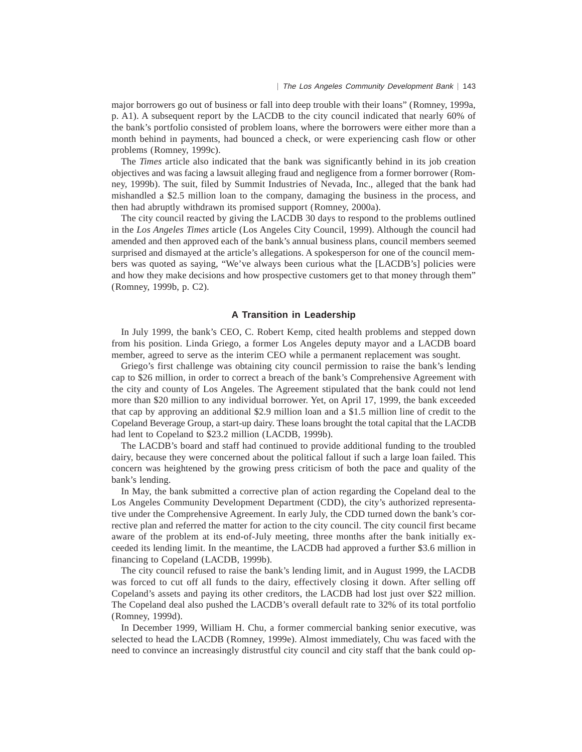major borrowers go out of business or fall into deep trouble with their loans" (Romney, 1999a, p. A1). A subsequent report by the LACDB to the city council indicated that nearly 60% of the bank's portfolio consisted of problem loans, where the borrowers were either more than a month behind in payments, had bounced a check, or were experiencing cash flow or other problems (Romney, 1999c).

The *Times* article also indicated that the bank was significantly behind in its job creation objectives and was facing a lawsuit alleging fraud and negligence from a former borrower (Romney, 1999b). The suit, filed by Summit Industries of Nevada, Inc., alleged that the bank had mishandled a \$2.5 million loan to the company, damaging the business in the process, and then had abruptly withdrawn its promised support (Romney, 2000a).

The city council reacted by giving the LACDB 30 days to respond to the problems outlined in the *Los Angeles Times* article (Los Angeles City Council, 1999). Although the council had amended and then approved each of the bank's annual business plans, council members seemed surprised and dismayed at the article's allegations. A spokesperson for one of the council members was quoted as saying, "We've always been curious what the [LACDB's] policies were and how they make decisions and how prospective customers get to that money through them" (Romney, 1999b, p. C2).

# **A Transition in Leadership**

In July 1999, the bank's CEO, C. Robert Kemp, cited health problems and stepped down from his position. Linda Griego, a former Los Angeles deputy mayor and a LACDB board member, agreed to serve as the interim CEO while a permanent replacement was sought.

Griego's first challenge was obtaining city council permission to raise the bank's lending cap to \$26 million, in order to correct a breach of the bank's Comprehensive Agreement with the city and county of Los Angeles. The Agreement stipulated that the bank could not lend more than \$20 million to any individual borrower. Yet, on April 17, 1999, the bank exceeded that cap by approving an additional \$2.9 million loan and a \$1.5 million line of credit to the Copeland Beverage Group, a start-up dairy. These loans brought the total capital that the LACDB had lent to Copeland to \$23.2 million (LACDB, 1999b).

The LACDB's board and staff had continued to provide additional funding to the troubled dairy, because they were concerned about the political fallout if such a large loan failed. This concern was heightened by the growing press criticism of both the pace and quality of the bank's lending.

In May, the bank submitted a corrective plan of action regarding the Copeland deal to the Los Angeles Community Development Department (CDD), the city's authorized representative under the Comprehensive Agreement. In early July, the CDD turned down the bank's corrective plan and referred the matter for action to the city council. The city council first became aware of the problem at its end-of-July meeting, three months after the bank initially exceeded its lending limit. In the meantime, the LACDB had approved a further \$3.6 million in financing to Copeland (LACDB, 1999b).

The city council refused to raise the bank's lending limit, and in August 1999, the LACDB was forced to cut off all funds to the dairy, effectively closing it down. After selling off Copeland's assets and paying its other creditors, the LACDB had lost just over \$22 million. The Copeland deal also pushed the LACDB's overall default rate to 32% of its total portfolio (Romney, 1999d).

In December 1999, William H. Chu, a former commercial banking senior executive, was selected to head the LACDB (Romney, 1999e). Almost immediately, Chu was faced with the need to convince an increasingly distrustful city council and city staff that the bank could op-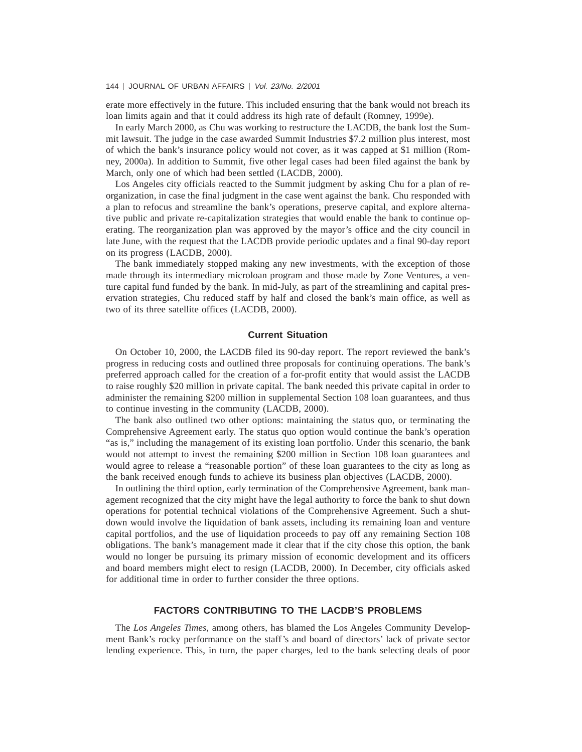erate more effectively in the future. This included ensuring that the bank would not breach its loan limits again and that it could address its high rate of default (Romney, 1999e).

In early March 2000, as Chu was working to restructure the LACDB, the bank lost the Summit lawsuit. The judge in the case awarded Summit Industries \$7.2 million plus interest, most of which the bank's insurance policy would not cover, as it was capped at \$1 million (Romney, 2000a). In addition to Summit, five other legal cases had been filed against the bank by March, only one of which had been settled (LACDB, 2000).

Los Angeles city officials reacted to the Summit judgment by asking Chu for a plan of reorganization, in case the final judgment in the case went against the bank. Chu responded with a plan to refocus and streamline the bank's operations, preserve capital, and explore alternative public and private re-capitalization strategies that would enable the bank to continue operating. The reorganization plan was approved by the mayor's office and the city council in late June, with the request that the LACDB provide periodic updates and a final 90-day report on its progress (LACDB, 2000).

The bank immediately stopped making any new investments, with the exception of those made through its intermediary microloan program and those made by Zone Ventures, a venture capital fund funded by the bank. In mid-July, as part of the streamlining and capital preservation strategies, Chu reduced staff by half and closed the bank's main office, as well as two of its three satellite offices (LACDB, 2000).

# **Current Situation**

On October 10, 2000, the LACDB filed its 90-day report. The report reviewed the bank's progress in reducing costs and outlined three proposals for continuing operations. The bank's preferred approach called for the creation of a for-profit entity that would assist the LACDB to raise roughly \$20 million in private capital. The bank needed this private capital in order to administer the remaining \$200 million in supplemental Section 108 loan guarantees, and thus to continue investing in the community (LACDB, 2000).

The bank also outlined two other options: maintaining the status quo, or terminating the Comprehensive Agreement early. The status quo option would continue the bank's operation "as is," including the management of its existing loan portfolio. Under this scenario, the bank would not attempt to invest the remaining \$200 million in Section 108 loan guarantees and would agree to release a "reasonable portion" of these loan guarantees to the city as long as the bank received enough funds to achieve its business plan objectives (LACDB, 2000).

In outlining the third option, early termination of the Comprehensive Agreement, bank management recognized that the city might have the legal authority to force the bank to shut down operations for potential technical violations of the Comprehensive Agreement. Such a shutdown would involve the liquidation of bank assets, including its remaining loan and venture capital portfolios, and the use of liquidation proceeds to pay off any remaining Section 108 obligations. The bank's management made it clear that if the city chose this option, the bank would no longer be pursuing its primary mission of economic development and its officers and board members might elect to resign (LACDB, 2000). In December, city officials asked for additional time in order to further consider the three options.

## **FACTORS CONTRIBUTING TO THE LACDB'S PROBLEMS**

The *Los Angeles Times*, among others, has blamed the Los Angeles Community Development Bank's rocky performance on the staff's and board of directors' lack of private sector lending experience. This, in turn, the paper charges, led to the bank selecting deals of poor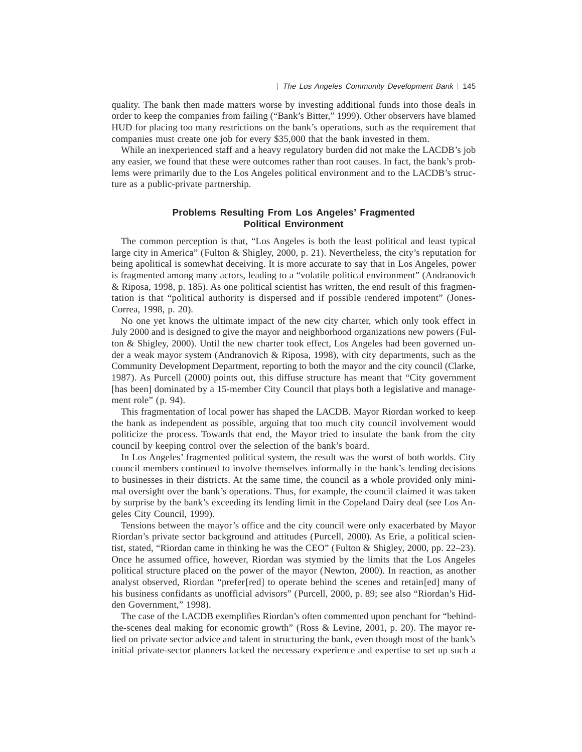quality. The bank then made matters worse by investing additional funds into those deals in order to keep the companies from failing ("Bank's Bitter," 1999). Other observers have blamed HUD for placing too many restrictions on the bank's operations, such as the requirement that companies must create one job for every \$35,000 that the bank invested in them.

While an inexperienced staff and a heavy regulatory burden did not make the LACDB's job any easier, we found that these were outcomes rather than root causes. In fact, the bank's problems were primarily due to the Los Angeles political environment and to the LACDB's structure as a public-private partnership.

# **Problems Resulting From Los Angeles' Fragmented Political Environment**

The common perception is that, "Los Angeles is both the least political and least typical large city in America" (Fulton & Shigley, 2000, p. 21). Nevertheless, the city's reputation for being apolitical is somewhat deceiving. It is more accurate to say that in Los Angeles, power is fragmented among many actors, leading to a "volatile political environment" (Andranovich & Riposa, 1998, p. 185). As one political scientist has written, the end result of this fragmentation is that "political authority is dispersed and if possible rendered impotent" (Jones-Correa, 1998, p. 20).

No one yet knows the ultimate impact of the new city charter, which only took effect in July 2000 and is designed to give the mayor and neighborhood organizations new powers (Fulton & Shigley, 2000). Until the new charter took effect, Los Angeles had been governed under a weak mayor system (Andranovich & Riposa, 1998), with city departments, such as the Community Development Department, reporting to both the mayor and the city council (Clarke, 1987). As Purcell (2000) points out, this diffuse structure has meant that "City government [has been] dominated by a 15-member City Council that plays both a legislative and management role" (p. 94).

This fragmentation of local power has shaped the LACDB. Mayor Riordan worked to keep the bank as independent as possible, arguing that too much city council involvement would politicize the process. Towards that end, the Mayor tried to insulate the bank from the city council by keeping control over the selection of the bank's board.

In Los Angeles' fragmented political system, the result was the worst of both worlds. City council members continued to involve themselves informally in the bank's lending decisions to businesses in their districts. At the same time, the council as a whole provided only minimal oversight over the bank's operations. Thus, for example, the council claimed it was taken by surprise by the bank's exceeding its lending limit in the Copeland Dairy deal (see Los Angeles City Council, 1999).

Tensions between the mayor's office and the city council were only exacerbated by Mayor Riordan's private sector background and attitudes (Purcell, 2000). As Erie, a political scientist, stated, "Riordan came in thinking he was the CEO" (Fulton & Shigley, 2000, pp. 22–23). Once he assumed office, however, Riordan was stymied by the limits that the Los Angeles political structure placed on the power of the mayor (Newton, 2000). In reaction, as another analyst observed, Riordan "prefer[red] to operate behind the scenes and retain[ed] many of his business confidants as unofficial advisors" (Purcell, 2000, p. 89; see also "Riordan's Hidden Government," 1998).

The case of the LACDB exemplifies Riordan's often commented upon penchant for "behindthe-scenes deal making for economic growth" (Ross & Levine, 2001, p. 20). The mayor relied on private sector advice and talent in structuring the bank, even though most of the bank's initial private-sector planners lacked the necessary experience and expertise to set up such a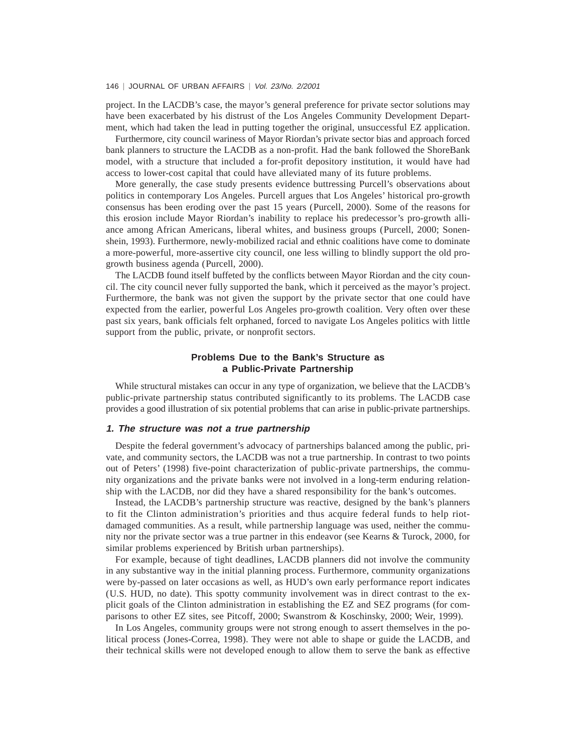project. In the LACDB's case, the mayor's general preference for private sector solutions may have been exacerbated by his distrust of the Los Angeles Community Development Department, which had taken the lead in putting together the original, unsuccessful EZ application.

Furthermore, city council wariness of Mayor Riordan's private sector bias and approach forced bank planners to structure the LACDB as a non-profit. Had the bank followed the ShoreBank model, with a structure that included a for-profit depository institution, it would have had access to lower-cost capital that could have alleviated many of its future problems.

More generally, the case study presents evidence buttressing Purcell's observations about politics in contemporary Los Angeles. Purcell argues that Los Angeles' historical pro-growth consensus has been eroding over the past 15 years (Purcell, 2000). Some of the reasons for this erosion include Mayor Riordan's inability to replace his predecessor's pro-growth alliance among African Americans, liberal whites, and business groups (Purcell, 2000; Sonenshein, 1993). Furthermore, newly-mobilized racial and ethnic coalitions have come to dominate a more-powerful, more-assertive city council, one less willing to blindly support the old progrowth business agenda (Purcell, 2000).

The LACDB found itself buffeted by the conflicts between Mayor Riordan and the city council. The city council never fully supported the bank, which it perceived as the mayor's project. Furthermore, the bank was not given the support by the private sector that one could have expected from the earlier, powerful Los Angeles pro-growth coalition. Very often over these past six years, bank officials felt orphaned, forced to navigate Los Angeles politics with little support from the public, private, or nonprofit sectors.

# **Problems Due to the Bank's Structure as a Public-Private Partnership**

While structural mistakes can occur in any type of organization, we believe that the LACDB's public-private partnership status contributed significantly to its problems. The LACDB case provides a good illustration of six potential problems that can arise in public-private partnerships.

## **1. The structure was not <sup>a</sup> true partnership**

Despite the federal government's advocacy of partnerships balanced among the public, private, and community sectors, the LACDB was not a true partnership. In contrast to two points out of Peters' (1998) five-point characterization of public-private partnerships, the community organizations and the private banks were not involved in a long-term enduring relationship with the LACDB, nor did they have a shared responsibility for the bank's outcomes.

Instead, the LACDB's partnership structure was reactive, designed by the bank's planners to fit the Clinton administration's priorities and thus acquire federal funds to help riotdamaged communities. As a result, while partnership language was used, neither the community nor the private sector was a true partner in this endeavor (see Kearns & Turock, 2000, for similar problems experienced by British urban partnerships).

For example, because of tight deadlines, LACDB planners did not involve the community in any substantive way in the initial planning process. Furthermore, community organizations were by-passed on later occasions as well, as HUD's own early performance report indicates (U.S. HUD, no date). This spotty community involvement was in direct contrast to the explicit goals of the Clinton administration in establishing the EZ and SEZ programs (for comparisons to other EZ sites, see Pitcoff, 2000; Swanstrom & Koschinsky, 2000; Weir, 1999).

In Los Angeles, community groups were not strong enough to assert themselves in the political process (Jones-Correa, 1998). They were not able to shape or guide the LACDB, and their technical skills were not developed enough to allow them to serve the bank as effective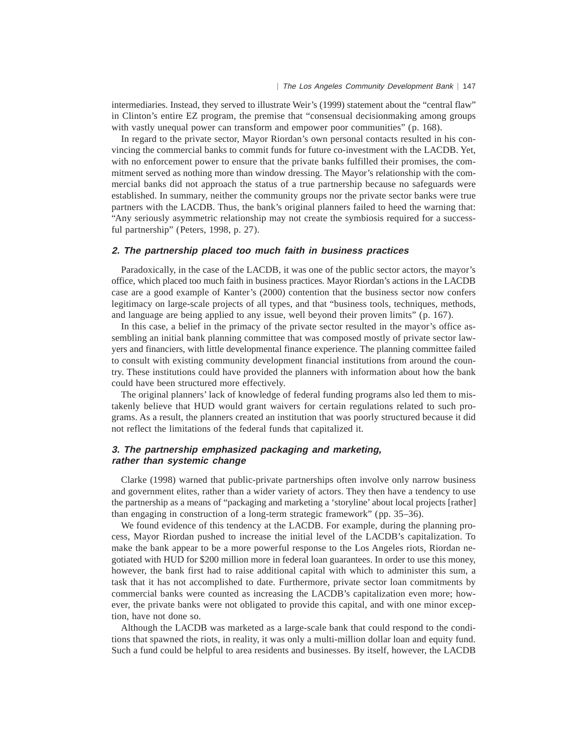intermediaries. Instead, they served to illustrate Weir's (1999) statement about the "central flaw" in Clinton's entire EZ program, the premise that "consensual decisionmaking among groups with vastly unequal power can transform and empower poor communities" (p. 168).

In regard to the private sector, Mayor Riordan's own personal contacts resulted in his convincing the commercial banks to commit funds for future co-investment with the LACDB. Yet, with no enforcement power to ensure that the private banks fulfilled their promises, the commitment served as nothing more than window dressing. The Mayor's relationship with the commercial banks did not approach the status of a true partnership because no safeguards were established. In summary, neither the community groups nor the private sector banks were true partners with the LACDB. Thus, the bank's original planners failed to heed the warning that: "Any seriously asymmetric relationship may not create the symbiosis required for a successful partnership" (Peters, 1998, p. 27).

## **2. The partnership placed too much faith in business practices**

Paradoxically, in the case of the LACDB, it was one of the public sector actors, the mayor's office, which placed too much faith in business practices. Mayor Riordan's actions in the LACDB case are a good example of Kanter's (2000) contention that the business sector now confers legitimacy on large-scale projects of all types, and that "business tools, techniques, methods, and language are being applied to any issue, well beyond their proven limits" (p. 167).

In this case, a belief in the primacy of the private sector resulted in the mayor's office assembling an initial bank planning committee that was composed mostly of private sector lawyers and financiers, with little developmental finance experience. The planning committee failed to consult with existing community development financial institutions from around the country. These institutions could have provided the planners with information about how the bank could have been structured more effectively.

The original planners' lack of knowledge of federal funding programs also led them to mistakenly believe that HUD would grant waivers for certain regulations related to such programs. As a result, the planners created an institution that was poorly structured because it did not reflect the limitations of the federal funds that capitalized it.

# **3. The partnership emphasized packaging and marketing, rather than systemic change**

Clarke (1998) warned that public-private partnerships often involve only narrow business and government elites, rather than a wider variety of actors. They then have a tendency to use the partnership as a means of "packaging and marketing a 'storyline' about local projects [rather] than engaging in construction of a long-term strategic framework" (pp. 35–36).

We found evidence of this tendency at the LACDB. For example, during the planning process, Mayor Riordan pushed to increase the initial level of the LACDB's capitalization. To make the bank appear to be a more powerful response to the Los Angeles riots, Riordan negotiated with HUD for \$200 million more in federal loan guarantees. In order to use this money, however, the bank first had to raise additional capital with which to administer this sum, a task that it has not accomplished to date. Furthermore, private sector loan commitments by commercial banks were counted as increasing the LACDB's capitalization even more; however, the private banks were not obligated to provide this capital, and with one minor exception, have not done so.

Although the LACDB was marketed as a large-scale bank that could respond to the conditions that spawned the riots, in reality, it was only a multi-million dollar loan and equity fund. Such a fund could be helpful to area residents and businesses. By itself, however, the LACDB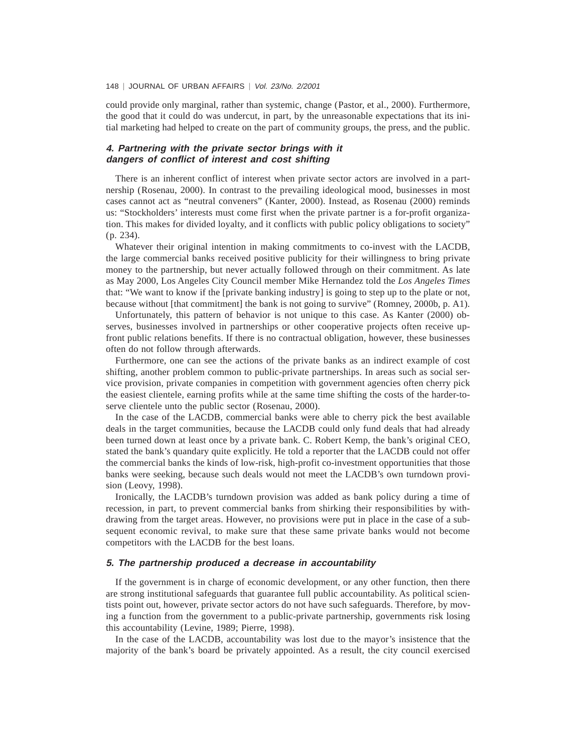could provide only marginal, rather than systemic, change (Pastor, et al., 2000). Furthermore, the good that it could do was undercut, in part, by the unreasonable expectations that its initial marketing had helped to create on the part of community groups, the press, and the public.

# **4. Partnering with the private sector brings with it dangers of conflict of interest and cost shifting**

There is an inherent conflict of interest when private sector actors are involved in a partnership (Rosenau, 2000). In contrast to the prevailing ideological mood, businesses in most cases cannot act as "neutral conveners" (Kanter, 2000). Instead, as Rosenau (2000) reminds us: "Stockholders' interests must come first when the private partner is a for-profit organization. This makes for divided loyalty, and it conflicts with public policy obligations to society" (p. 234).

Whatever their original intention in making commitments to co-invest with the LACDB, the large commercial banks received positive publicity for their willingness to bring private money to the partnership, but never actually followed through on their commitment. As late as May 2000, Los Angeles City Council member Mike Hernandez told the *Los Angeles Times* that: "We want to know if the [private banking industry] is going to step up to the plate or not, because without [that commitment] the bank is not going to survive" (Romney, 2000b, p. A1).

Unfortunately, this pattern of behavior is not unique to this case. As Kanter (2000) observes, businesses involved in partnerships or other cooperative projects often receive upfront public relations benefits. If there is no contractual obligation, however, these businesses often do not follow through afterwards.

Furthermore, one can see the actions of the private banks as an indirect example of cost shifting, another problem common to public-private partnerships. In areas such as social service provision, private companies in competition with government agencies often cherry pick the easiest clientele, earning profits while at the same time shifting the costs of the harder-toserve clientele unto the public sector (Rosenau, 2000).

In the case of the LACDB, commercial banks were able to cherry pick the best available deals in the target communities, because the LACDB could only fund deals that had already been turned down at least once by a private bank. C. Robert Kemp, the bank's original CEO, stated the bank's quandary quite explicitly. He told a reporter that the LACDB could not offer the commercial banks the kinds of low-risk, high-profit co-investment opportunities that those banks were seeking, because such deals would not meet the LACDB's own turndown provision (Leovy, 1998).

Ironically, the LACDB's turndown provision was added as bank policy during a time of recession, in part, to prevent commercial banks from shirking their responsibilities by withdrawing from the target areas. However, no provisions were put in place in the case of a subsequent economic revival, to make sure that these same private banks would not become competitors with the LACDB for the best loans.

## **5. The partnership produced <sup>a</sup> decrease in accountability**

If the government is in charge of economic development, or any other function, then there are strong institutional safeguards that guarantee full public accountability. As political scientists point out, however, private sector actors do not have such safeguards. Therefore, by moving a function from the government to a public-private partnership, governments risk losing this accountability (Levine, 1989; Pierre, 1998).

In the case of the LACDB, accountability was lost due to the mayor's insistence that the majority of the bank's board be privately appointed. As a result, the city council exercised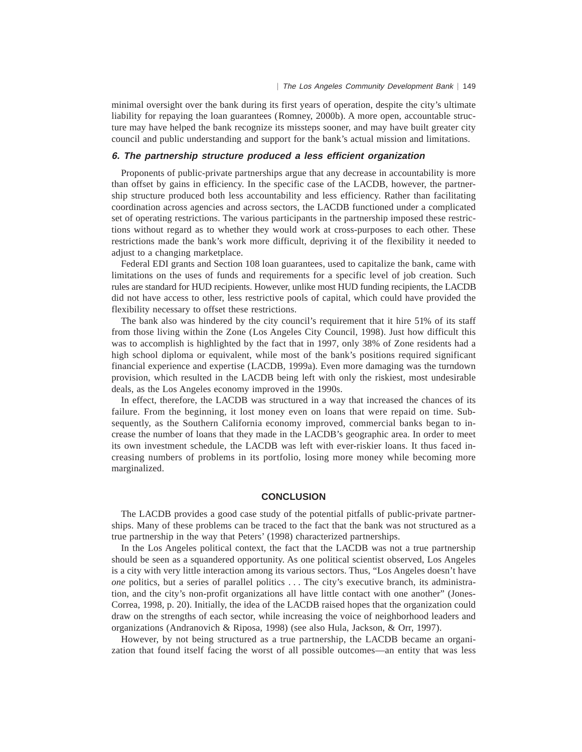minimal oversight over the bank during its first years of operation, despite the city's ultimate liability for repaying the loan guarantees (Romney, 2000b). A more open, accountable structure may have helped the bank recognize its missteps sooner, and may have built greater city council and public understanding and support for the bank's actual mission and limitations.

# **6. The partnership structure produced <sup>a</sup> less efficient organization**

Proponents of public-private partnerships argue that any decrease in accountability is more than offset by gains in efficiency. In the specific case of the LACDB, however, the partnership structure produced both less accountability and less efficiency. Rather than facilitating coordination across agencies and across sectors, the LACDB functioned under a complicated set of operating restrictions. The various participants in the partnership imposed these restrictions without regard as to whether they would work at cross-purposes to each other. These restrictions made the bank's work more difficult, depriving it of the flexibility it needed to adjust to a changing marketplace.

Federal EDI grants and Section 108 loan guarantees, used to capitalize the bank, came with limitations on the uses of funds and requirements for a specific level of job creation. Such rules are standard for HUD recipients. However, unlike most HUD funding recipients, the LACDB did not have access to other, less restrictive pools of capital, which could have provided the flexibility necessary to offset these restrictions.

The bank also was hindered by the city council's requirement that it hire 51% of its staff from those living within the Zone (Los Angeles City Council, 1998). Just how difficult this was to accomplish is highlighted by the fact that in 1997, only 38% of Zone residents had a high school diploma or equivalent, while most of the bank's positions required significant financial experience and expertise (LACDB, 1999a). Even more damaging was the turndown provision, which resulted in the LACDB being left with only the riskiest, most undesirable deals, as the Los Angeles economy improved in the 1990s.

In effect, therefore, the LACDB was structured in a way that increased the chances of its failure. From the beginning, it lost money even on loans that were repaid on time. Subsequently, as the Southern California economy improved, commercial banks began to increase the number of loans that they made in the LACDB's geographic area. In order to meet its own investment schedule, the LACDB was left with ever-riskier loans. It thus faced increasing numbers of problems in its portfolio, losing more money while becoming more marginalized.

## **CONCLUSION**

The LACDB provides a good case study of the potential pitfalls of public-private partnerships. Many of these problems can be traced to the fact that the bank was not structured as a true partnership in the way that Peters' (1998) characterized partnerships.

In the Los Angeles political context, the fact that the LACDB was not a true partnership should be seen as a squandered opportunity. As one political scientist observed, Los Angeles is a city with very little interaction among its various sectors. Thus, "Los Angeles doesn't have *one* politics, but a series of parallel politics . . . The city's executive branch, its administration, and the city's non-profit organizations all have little contact with one another" (Jones-Correa, 1998, p. 20). Initially, the idea of the LACDB raised hopes that the organization could draw on the strengths of each sector, while increasing the voice of neighborhood leaders and organizations (Andranovich & Riposa, 1998) (see also Hula, Jackson, & Orr, 1997).

However, by not being structured as a true partnership, the LACDB became an organization that found itself facing the worst of all possible outcomes—an entity that was less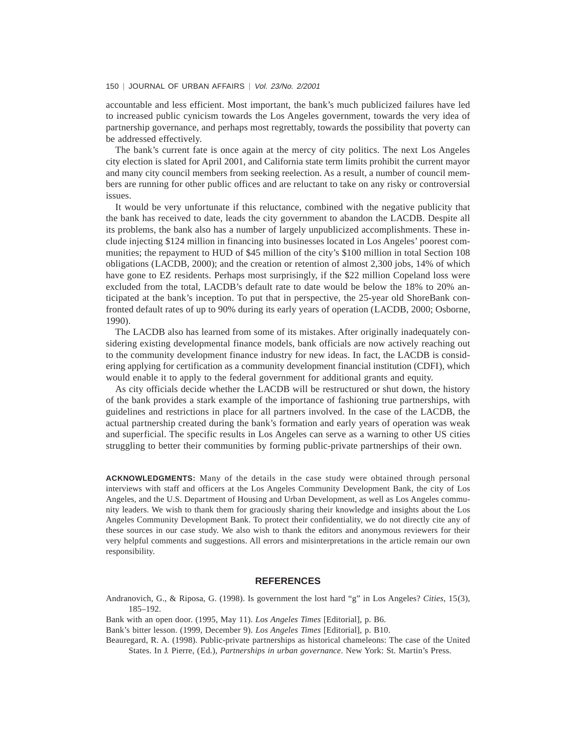accountable and less efficient. Most important, the bank's much publicized failures have led to increased public cynicism towards the Los Angeles government, towards the very idea of partnership governance, and perhaps most regrettably, towards the possibility that poverty can be addressed effectively.

The bank's current fate is once again at the mercy of city politics. The next Los Angeles city election is slated for April 2001, and California state term limits prohibit the current mayor and many city council members from seeking reelection. As a result, a number of council members are running for other public offices and are reluctant to take on any risky or controversial issues.

It would be very unfortunate if this reluctance, combined with the negative publicity that the bank has received to date, leads the city government to abandon the LACDB. Despite all its problems, the bank also has a number of largely unpublicized accomplishments. These include injecting \$124 million in financing into businesses located in Los Angeles' poorest communities; the repayment to HUD of \$45 million of the city's \$100 million in total Section 108 obligations (LACDB, 2000); and the creation or retention of almost 2,300 jobs, 14% of which have gone to EZ residents. Perhaps most surprisingly, if the \$22 million Copeland loss were excluded from the total, LACDB's default rate to date would be below the 18% to 20% anticipated at the bank's inception. To put that in perspective, the 25-year old ShoreBank confronted default rates of up to 90% during its early years of operation (LACDB, 2000; Osborne, 1990).

The LACDB also has learned from some of its mistakes. After originally inadequately considering existing developmental finance models, bank officials are now actively reaching out to the community development finance industry for new ideas. In fact, the LACDB is considering applying for certification as a community development financial institution (CDFI), which would enable it to apply to the federal government for additional grants and equity.

As city officials decide whether the LACDB will be restructured or shut down, the history of the bank provides a stark example of the importance of fashioning true partnerships, with guidelines and restrictions in place for all partners involved. In the case of the LACDB, the actual partnership created during the bank's formation and early years of operation was weak and superficial. The specific results in Los Angeles can serve as a warning to other US cities struggling to better their communities by forming public-private partnerships of their own.

**ACKNOWLEDGMENTS:** Many of the details in the case study were obtained through personal interviews with staff and officers at the Los Angeles Community Development Bank, the city of Los Angeles, and the U.S. Department of Housing and Urban Development, as well as Los Angeles community leaders. We wish to thank them for graciously sharing their knowledge and insights about the Los Angeles Community Development Bank. To protect their confidentiality, we do not directly cite any of these sources in our case study. We also wish to thank the editors and anonymous reviewers for their very helpful comments and suggestions. All errors and misinterpretations in the article remain our own responsibility.

## **REFERENCES**

Andranovich, G., & Riposa, G. (1998). Is government the lost hard "g" in Los Angeles? *Cities*, 15(3), 185–192.

Bank with an open door. (1995, May 11). *Los Angeles Times* [Editorial], p. B6.

Bank's bitter lesson. (1999, December 9). *Los Angeles Times* [Editorial], p. B10.

Beauregard, R. A. (1998). Public-private partnerships as historical chameleons: The case of the United States. In J. Pierre, (Ed.), *Partnerships in urban governance*. New York: St. Martin's Press.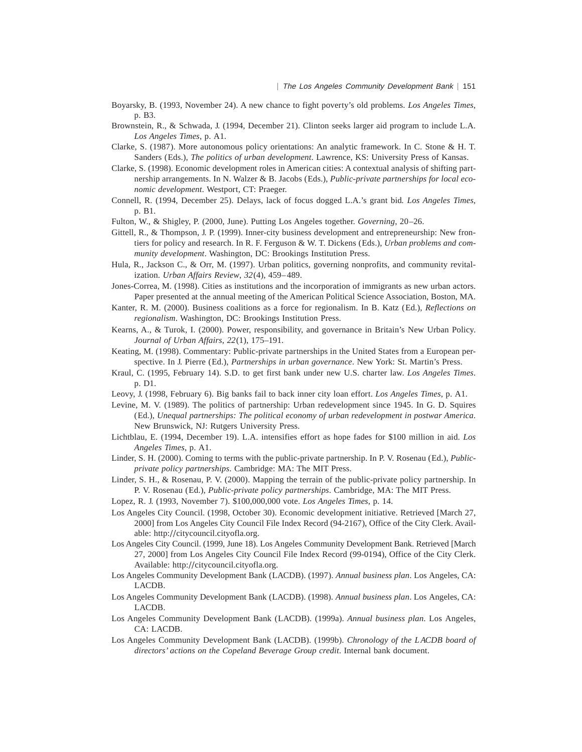- Boyarsky, B. (1993, November 24). A new chance to fight poverty's old problems. *Los Angeles Times*, p. B3.
- Brownstein, R., & Schwada, J. (1994, December 21). Clinton seeks larger aid program to include L.A. *Los Angeles Times*, p. A1.
- Clarke, S. (1987). More autonomous policy orientations: An analytic framework. In C. Stone & H. T. Sanders (Eds.), *The politics of urban development*. Lawrence, KS: University Press of Kansas.
- Clarke, S. (1998). Economic development roles in American cities: A contextual analysis of shifting partnership arrangements. In N. Walzer & B. Jacobs (Eds.), *Public-private partnerships for local economic development*. Westport, CT: Praeger.
- Connell, R. (1994, December 25). Delays, lack of focus dogged L.A.'s grant bid*. Los Angeles Times*, p. B1.
- Fulton, W., & Shigley, P. (2000, June). Putting Los Angeles together. *Governing*, 20–26.
- Gittell, R., & Thompson, J. P. (1999). Inner-city business development and entrepreneurship: New frontiers for policy and research. In R. F. Ferguson & W. T. Dickens (Eds.), *Urban problems and community development*. Washington, DC: Brookings Institution Press.
- Hula, R., Jackson C., & Orr, M. (1997). Urban politics, governing nonprofits, and community revitalization. *Urban Affairs Review*, *32*(4), 459–489.
- Jones-Correa, M. (1998). Cities as institutions and the incorporation of immigrants as new urban actors. Paper presented at the annual meeting of the American Political Science Association, Boston, MA.
- Kanter, R. M. (2000). Business coalitions as a force for regionalism. In B. Katz (Ed.), *Reflections on regionalism*. Washington, DC: Brookings Institution Press.
- Kearns, A., & Turok, I. (2000). Power, responsibility, and governance in Britain's New Urban Policy. *Journal of Urban Affairs*, *22*(1), 175–191.
- Keating, M. (1998). Commentary: Public-private partnerships in the United States from a European perspective. In J. Pierre (Ed.), *Partnerships in urban governance*. New York: St. Martin's Press.
- Kraul, C. (1995, February 14). S.D. to get first bank under new U.S. charter law. *Los Angeles Times*. p. D1.
- Leovy, J. (1998, February 6). Big banks fail to back inner city loan effort. *Los Angeles Times*, p. A1.
- Levine, M. V. (1989). The politics of partnership: Urban redevelopment since 1945. In G. D. Squires (Ed.), *Unequal partnerships: The political economy of urban redevelopment in postwar America*. New Brunswick, NJ: Rutgers University Press.
- Lichtblau, E. (1994, December 19). L.A. intensifies effort as hope fades for \$100 million in aid. *Los Angeles Times*, p. A1.
- Linder, S. H. (2000). Coming to terms with the public-private partnership. In P. V. Rosenau (Ed.), *Publicprivate policy partnerships*. Cambridge: MA: The MIT Press.
- Linder, S. H., & Rosenau, P. V. (2000). Mapping the terrain of the public-private policy partnership. In P. V. Rosenau (Ed.), *Public-private policy partnerships*. Cambridge, MA: The MIT Press.
- Lopez, R. J. (1993, November 7). \$100,000,000 vote. *Los Angeles Times*, p. 14.
- Los Angeles City Council. (1998, October 30). Economic development initiative. Retrieved [March 27, 2000] from Los Angeles City Council File Index Record (94-2167), Office of the City Clerk. Available: http://citycouncil.cityofla.org.
- Los Angeles City Council. (1999, June 18). Los Angeles Community Development Bank. Retrieved [March 27, 2000] from Los Angeles City Council File Index Record (99-0194), Office of the City Clerk. Available: http://citycouncil.cityofla.org.
- Los Angeles Community Development Bank (LACDB). (1997). *Annual business plan*. Los Angeles, CA: LACDB.
- Los Angeles Community Development Bank (LACDB). (1998). *Annual business plan*. Los Angeles, CA: LACDB.
- Los Angeles Community Development Bank (LACDB). (1999a). *Annual business plan*. Los Angeles, CA: LACDB.
- Los Angeles Community Development Bank (LACDB). (1999b). *Chronology of the L ACDB board of directors' actions on the Copeland Beverage Group credit*. Internal bank document.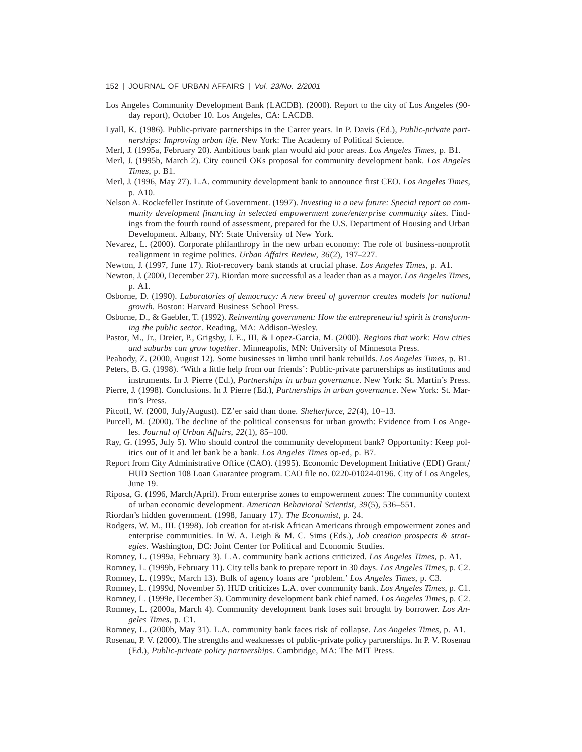- Los Angeles Community Development Bank (LACDB). (2000). Report to the city of Los Angeles (90 day report), October 10. Los Angeles, CA: LACDB.
- Lyall, K. (1986). Public-private partnerships in the Carter years. In P. Davis (Ed.), *Public-private partnerships: Improving urban life*. New York: The Academy of Political Science.
- Merl, J. (1995a, February 20). Ambitious bank plan would aid poor areas. *Los Angeles Times*, p. B1.
- Merl, J. (1995b, March 2). City council OKs proposal for community development bank. *Los Angeles Times*, p. B1.
- Merl, J. (1996, May 27). L.A. community development bank to announce first CEO. *Los Angeles Times*, p. A10.
- Nelson A. Rockefeller Institute of Government. (1997). *Investing in a new future: Special report on community development financing in selected empowerment zone/enterprise community sites*. Findings from the fourth round of assessment, prepared for the U.S. Department of Housing and Urban Development. Albany, NY: State University of New York.
- Nevarez, L. (2000). Corporate philanthropy in the new urban economy: The role of business-nonprofit realignment in regime politics. *Urban Affairs Review*, *36*(2), 197–227.
- Newton, J. (1997, June 17). Riot-recovery bank stands at crucial phase. *Los Angeles Times*, p. A1.
- Newton, J. (2000, December 27). Riordan more successful as a leader than as a mayor. *Los Angeles Times*, p. A1.
- Osborne, D. (1990). *Laboratories of democracy: A new breed of governor creates models for national growth*. Boston: Harvard Business School Press.
- Osborne, D., & Gaebler, T. (1992). *Reinventing government: How the entrepreneurial spirit is transforming the public sector*. Reading, MA: Addison-Wesley.
- Pastor, M., Jr., Dreier, P., Grigsby, J. E., III, & Lopez-Garcia, M. (2000). *Regions that work: How cities and suburbs can grow together*. Minneapolis, MN: University of Minnesota Press.
- Peabody, Z. (2000, August 12). Some businesses in limbo until bank rebuilds. *Los Angeles Times*, p. B1.
- Peters, B. G. (1998). 'With a little help from our friends': Public-private partnerships as institutions and instruments. In J. Pierre (Ed.), *Partnerships in urban governance*. New York: St. Martin's Press.
- Pierre, J. (1998). Conclusions. In J. Pierre (Ed.), *Partnerships in urban governance*. New York: St. Martin's Press.
- Pitcoff, W. (2000, July/August). EZ'er said than done. *Shelterforce*, *22*(4), 10–13.
- Purcell, M. (2000). The decline of the political consensus for urban growth: Evidence from Los Angeles. *Journal of Urban Affairs*, *22*(1), 85–100.
- Ray, G. (1995, July 5). Who should control the community development bank? Opportunity: Keep politics out of it and let bank be a bank. *Los Angeles Times* op-ed, p. B7.
- Report from City Administrative Office (CAO). (1995). Economic Development Initiative (EDI) Grant/ HUD Section 108 Loan Guarantee program. CAO file no. 0220-01024-0196. City of Los Angeles, June 19.
- Riposa, G. (1996, March/April). From enterprise zones to empowerment zones: The community context of urban economic development. *American Behavioral Scientist*, *39*(5), 536–551.
- Riordan's hidden government. (1998, January 17). *The Economist*, p. 24.
- Rodgers, W. M., III. (1998). Job creation for at-risk African Americans through empowerment zones and enterprise communities. In W. A. Leigh & M. C. Sims (Eds.), *Job creation prospects & strategies*. Washington, DC: Joint Center for Political and Economic Studies.
- Romney, L. (1999a, February 3). L.A. community bank actions criticized. *Los Angeles Times*, p. A1.
- Romney, L. (1999b, February 11). City tells bank to prepare report in 30 days. *Los Angeles Times*, p. C2. Romney, L. (1999c, March 13). Bulk of agency loans are 'problem.' *Los Angeles Times*, p. C3.
- Romney, L. (1999d, November 5). HUD criticizes L.A. over community bank. *Los Angeles Times*, p. C1.
- Romney, L. (1999e, December 3). Community development bank chief named. *Los Angeles Times*, p. C2.
- Romney, L. (2000a, March 4). Community development bank loses suit brought by borrower. *Los An-*

*geles Times*, p. C1.

- Romney, L. (2000b, May 31). L.A. community bank faces risk of collapse. *Los Angeles Times*, p. A1.
- Rosenau, P. V. (2000). The strengths and weaknesses of public-private policy partnerships. In P. V. Rosenau (Ed.), *Public-private policy partnerships*. Cambridge, MA: The MIT Press.